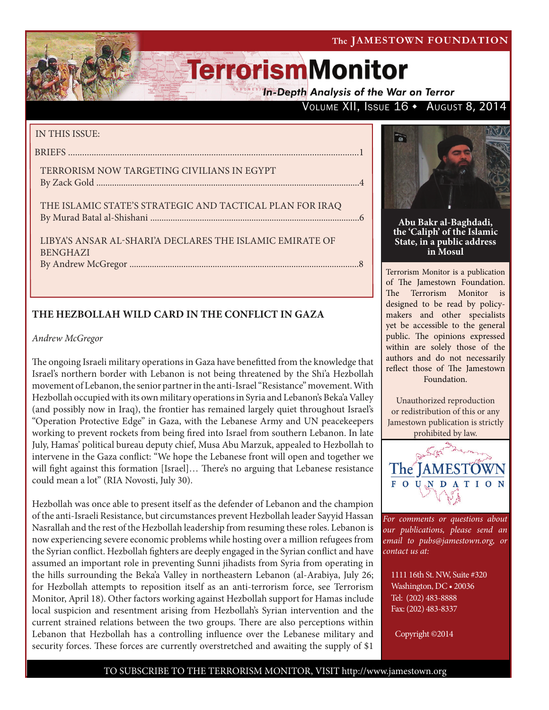The JAMESTOWN FOUNDATION

# **TerrorismMonitor**

**In-Depth Analysis of the War on Terror** 

## VOLUME XII, ISSUE 16 · AUGUST 8, 2014

## IN THIS ISSUE:

BRIEFS ............................................................................................................................1 TERRORISM NOW TARGETING CIVILIANS IN EGYPT

By Zack Gold .....................................................................................................................4

THE ISLAMIC STATE'S STRATEGIC AND TACTICAL PLAN FOR IRAQ By Murad Batal al-Shishani .............................................................................................6

LIBYA'S ANSAR AL-SHARI'A DECLARES THE ISLAMIC EMIRATE OF BENGHAZI By Andrew McGregor ......................................................................................................8

## **THE HEZBOLLAH WILD CARD IN THE CONFLICT IN GAZA**

## *Andrew McGregor*

The ongoing Israeli military operations in Gaza have benefitted from the knowledge that Israel's northern border with Lebanon is not being threatened by the Shi'a Hezbollah movement of Lebanon, the senior partner in the anti-Israel "Resistance" movement. With Hezbollah occupied with its own military operations in Syria and Lebanon's Beka'a Valley (and possibly now in Iraq), the frontier has remained largely quiet throughout Israel's "Operation Protective Edge" in Gaza, with the Lebanese Army and UN peacekeepers working to prevent rockets from being fired into Israel from southern Lebanon. In late July, Hamas' political bureau deputy chief, Musa Abu Marzuk, appealed to Hezbollah to intervene in the Gaza conflict: "We hope the Lebanese front will open and together we will fight against this formation [Israel]… There's no arguing that Lebanese resistance could mean a lot" (RIA Novosti, July 30).

Hezbollah was once able to present itself as the defender of Lebanon and the champion of the anti-Israeli Resistance, but circumstances prevent Hezbollah leader Sayyid Hassan Nasrallah and the rest of the Hezbollah leadership from resuming these roles. Lebanon is now experiencing severe economic problems while hosting over a million refugees from the Syrian conflict. Hezbollah fighters are deeply engaged in the Syrian conflict and have assumed an important role in preventing Sunni jihadists from Syria from operating in the hills surrounding the Beka'a Valley in northeastern Lebanon (al-Arabiya, July 26; for Hezbollah attempts to reposition itself as an anti-terrorism force, see Terrorism Monitor, April 18). Other factors working against Hezbollah support for Hamas include local suspicion and resentment arising from Hezbollah's Syrian intervention and the current strained relations between the two groups. There are also perceptions within Lebanon that Hezbollah has a controlling influence over the Lebanese military and security forces. These forces are currently overstretched and awaiting the supply of \$1



**Abu Bakr al-Baghdadi, the 'Caliph' of the Islamic State, in a public address in Mosul**

Terrorism Monitor is a publication of The Jamestown Foundation. The Terrorism Monitor is designed to be read by policymakers and other specialists yet be accessible to the general public. The opinions expressed within are solely those of the authors and do not necessarily reflect those of The Jamestown Foundation.

Unauthorized reproduction or redistribution of this or any Jamestown publication is strictly prohibited by law.



*For comments or questions about our publications, please send an email to pubs@jamestown.org, or contact us at:* 

1111 16th St. NW, Suite #320 Washington, DC • 20036 Tel: (202) 483-8888 Fax: (202) 483-8337

Copyright ©2014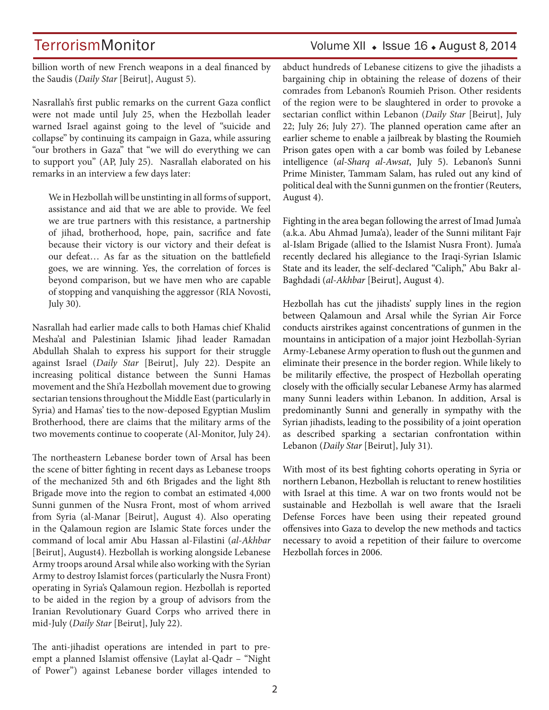## TerrorismMonitor Volume XII + Issue 16 + August 8, 2014

billion worth of new French weapons in a deal financed by the Saudis (*Daily Star* [Beirut], August 5).

Nasrallah's first public remarks on the current Gaza conflict were not made until July 25, when the Hezbollah leader warned Israel against going to the level of "suicide and collapse" by continuing its campaign in Gaza, while assuring "our brothers in Gaza" that "we will do everything we can to support you" (AP, July 25). Nasrallah elaborated on his remarks in an interview a few days later:

We in Hezbollah will be unstinting in all forms of support, assistance and aid that we are able to provide. We feel we are true partners with this resistance, a partnership of jihad, brotherhood, hope, pain, sacrifice and fate because their victory is our victory and their defeat is our defeat… As far as the situation on the battlefield goes, we are winning. Yes, the correlation of forces is beyond comparison, but we have men who are capable of stopping and vanquishing the aggressor (RIA Novosti, July 30).

Nasrallah had earlier made calls to both Hamas chief Khalid Mesha'al and Palestinian Islamic Jihad leader Ramadan Abdullah Shalah to express his support for their struggle against Israel (*Daily Star* [Beirut], July 22). Despite an increasing political distance between the Sunni Hamas movement and the Shi'a Hezbollah movement due to growing sectarian tensions throughout the Middle East (particularly in Syria) and Hamas' ties to the now-deposed Egyptian Muslim Brotherhood, there are claims that the military arms of the two movements continue to cooperate (Al-Monitor, July 24).

The northeastern Lebanese border town of Arsal has been the scene of bitter fighting in recent days as Lebanese troops of the mechanized 5th and 6th Brigades and the light 8th Brigade move into the region to combat an estimated 4,000 Sunni gunmen of the Nusra Front, most of whom arrived from Syria (al-Manar [Beirut], August 4). Also operating in the Qalamoun region are Islamic State forces under the command of local amir Abu Hassan al-Filastini (*al-Akhbar* [Beirut], August4). Hezbollah is working alongside Lebanese Army troops around Arsal while also working with the Syrian Army to destroy Islamist forces (particularly the Nusra Front) operating in Syria's Qalamoun region. Hezbollah is reported to be aided in the region by a group of advisors from the Iranian Revolutionary Guard Corps who arrived there in mid-July (*Daily Star* [Beirut], July 22).

The anti-jihadist operations are intended in part to preempt a planned Islamist offensive (Laylat al-Qadr – "Night of Power") against Lebanese border villages intended to

abduct hundreds of Lebanese citizens to give the jihadists a bargaining chip in obtaining the release of dozens of their comrades from Lebanon's Roumieh Prison. Other residents of the region were to be slaughtered in order to provoke a sectarian conflict within Lebanon (*Daily Star* [Beirut], July 22; July 26; July 27). The planned operation came after an earlier scheme to enable a jailbreak by blasting the Roumieh Prison gates open with a car bomb was foiled by Lebanese intelligence (*al-Sharq al-Awsat*, July 5). Lebanon's Sunni Prime Minister, Tammam Salam, has ruled out any kind of political deal with the Sunni gunmen on the frontier (Reuters, August 4).

Fighting in the area began following the arrest of Imad Juma'a (a.k.a. Abu Ahmad Juma'a), leader of the Sunni militant Fajr al-Islam Brigade (allied to the Islamist Nusra Front). Juma'a recently declared his allegiance to the Iraqi-Syrian Islamic State and its leader, the self-declared "Caliph," Abu Bakr al-Baghdadi (*al-Akhbar* [Beirut], August 4).

Hezbollah has cut the jihadists' supply lines in the region between Qalamoun and Arsal while the Syrian Air Force conducts airstrikes against concentrations of gunmen in the mountains in anticipation of a major joint Hezbollah-Syrian Army-Lebanese Army operation to flush out the gunmen and eliminate their presence in the border region. While likely to be militarily effective, the prospect of Hezbollah operating closely with the officially secular Lebanese Army has alarmed many Sunni leaders within Lebanon. In addition, Arsal is predominantly Sunni and generally in sympathy with the Syrian jihadists, leading to the possibility of a joint operation as described sparking a sectarian confrontation within Lebanon (*Daily Star* [Beirut], July 31).

With most of its best fighting cohorts operating in Syria or northern Lebanon, Hezbollah is reluctant to renew hostilities with Israel at this time. A war on two fronts would not be sustainable and Hezbollah is well aware that the Israeli Defense Forces have been using their repeated ground offensives into Gaza to develop the new methods and tactics necessary to avoid a repetition of their failure to overcome Hezbollah forces in 2006.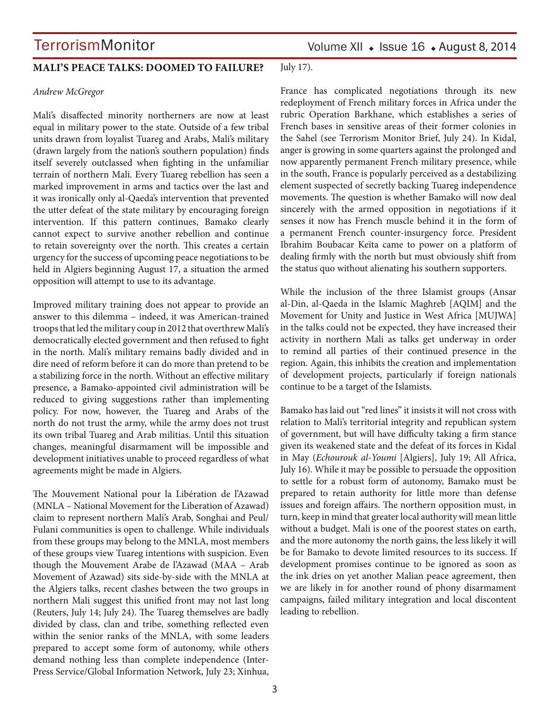### **MALI'S PEACE TALKS: DOOMED TO FAILURE?**

#### *Andrew McGregor*

Mali's disaffected minority northerners are now at least equal in military power to the state. Outside of a few tribal units drawn from loyalist Tuareg and Arabs, Mali's military (drawn largely from the nation's southern population) finds itself severely outclassed when fighting in the unfamiliar terrain of northern Mali. Every Tuareg rebellion has seen a marked improvement in arms and tactics over the last and it was ironically only al-Qaeda's intervention that prevented the utter defeat of the state military by encouraging foreign intervention. If this pattern continues, Bamako clearly cannot expect to survive another rebellion and continue to retain sovereignty over the north. This creates a certain urgency for the success of upcoming peace negotiations to be held in Algiers beginning August 17, a situation the armed opposition will attempt to use to its advantage.

Improved military training does not appear to provide an answer to this dilemma – indeed, it was American-trained troops that led the military coup in 2012 that overthrew Mali's democratically elected government and then refused to fight in the north. Mali's military remains badly divided and in dire need of reform before it can do more than pretend to be a stabilizing force in the north. Without an effective military presence, a Bamako-appointed civil administration will be reduced to giving suggestions rather than implementing policy. For now, however, the Tuareg and Arabs of the north do not trust the army, while the army does not trust its own tribal Tuareg and Arab militias. Until this situation changes, meaningful disarmament will be impossible and development initiatives unable to proceed regardless of what agreements might be made in Algiers.

The Mouvement National pour la Libération de l'Azawad (MNLA – National Movement for the Liberation of Azawad) claim to represent northern Mali's Arab, Songhai and Peul/ Fulani communities is open to challenge. While individuals from these groups may belong to the MNLA, most members of these groups view Tuareg intentions with suspicion. Even though the Mouvement Arabe de l'Azawad (MAA – Arab Movement of Azawad) sits side-by-side with the MNLA at the Algiers talks, recent clashes between the two groups in northern Mali suggest this unified front may not last long (Reuters, July 14; July 24). The Tuareg themselves are badly divided by class, clan and tribe, something reflected even within the senior ranks of the MNLA, with some leaders prepared to accept some form of autonomy, while others demand nothing less than complete independence (Inter-Press Service/Global Information Network, July 23; Xinhua,

Volume XII  $\bullet$  Issue 16  $\bullet$  August 8, 2014

July 17).

France has complicated negotiations through its new redeployment of French military forces in Africa under the rubric Operation Barkhane, which establishes a series of French bases in sensitive areas of their former colonies in the Sahel (see Terrorism Monitor Brief, July 24). In Kidal, anger is growing in some quarters against the prolonged and now apparently permanent French military presence, while in the south, France is popularly perceived as a destabilizing element suspected of secretly backing Tuareg independence movements. The question is whether Bamako will now deal sincerely with the armed opposition in negotiations if it senses it now has French muscle behind it in the form of a permanent French counter-insurgency force. President Ibrahim Boubacar Keïta came to power on a platform of dealing firmly with the north but must obviously shift from the status quo without alienating his southern supporters.

While the inclusion of the three Islamist groups (Ansar al-Din, al-Qaeda in the Islamic Maghreb [AQIM] and the Movement for Unity and Justice in West Africa [MUJWA] in the talks could not be expected, they have increased their activity in northern Mali as talks get underway in order to remind all parties of their continued presence in the region. Again, this inhibits the creation and implementation of development projects, particularly if foreign nationals continue to be a target of the Islamists.

Bamako has laid out "red lines" it insists it will not cross with relation to Mali's territorial integrity and republican system of government, but will have difficulty taking a firm stance given its weakened state and the defeat of its forces in Kidal in May (*Echourouk al-Youmi* [Algiers], July 19; All Africa, July 16). While it may be possible to persuade the opposition to settle for a robust form of autonomy, Bamako must be prepared to retain authority for little more than defense issues and foreign affairs. The northern opposition must, in turn, keep in mind that greater local authority will mean little without a budget. Mali is one of the poorest states on earth, and the more autonomy the north gains, the less likely it will be for Bamako to devote limited resources to its success. If development promises continue to be ignored as soon as the ink dries on yet another Malian peace agreement, then we are likely in for another round of phony disarmament campaigns, failed military integration and local discontent leading to rebellion.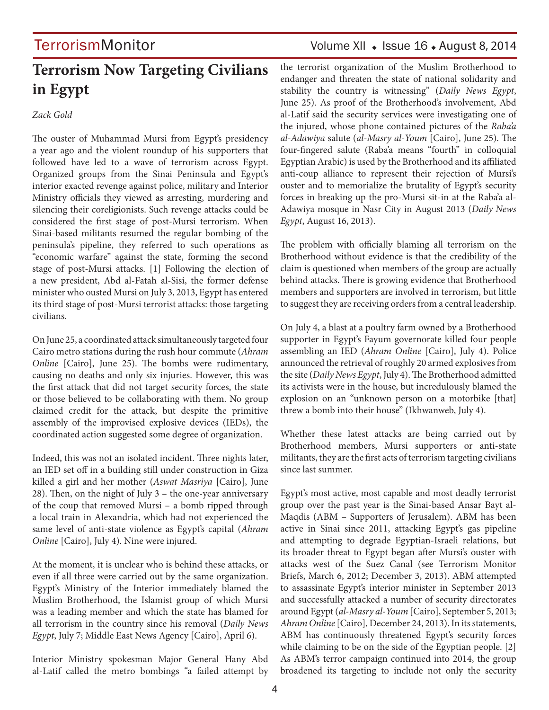## **Terrorism Now Targeting Civilians in Egypt**

### *Zack Gold*

The ouster of Muhammad Mursi from Egypt's presidency a year ago and the violent roundup of his supporters that followed have led to a wave of terrorism across Egypt. Organized groups from the Sinai Peninsula and Egypt's interior exacted revenge against police, military and Interior Ministry officials they viewed as arresting, murdering and silencing their coreligionists. Such revenge attacks could be considered the first stage of post-Mursi terrorism. When Sinai-based militants resumed the regular bombing of the peninsula's pipeline, they referred to such operations as "economic warfare" against the state, forming the second stage of post-Mursi attacks. [1] Following the election of a new president, Abd al-Fatah al-Sisi, the former defense minister who ousted Mursi on July 3, 2013, Egypt has entered its third stage of post-Mursi terrorist attacks: those targeting civilians.

On June 25, a coordinated attack simultaneously targeted four Cairo metro stations during the rush hour commute (*Ahram Online* [Cairo], June 25). The bombs were rudimentary, causing no deaths and only six injuries. However, this was the first attack that did not target security forces, the state or those believed to be collaborating with them. No group claimed credit for the attack, but despite the primitive assembly of the improvised explosive devices (IEDs), the coordinated action suggested some degree of organization.

Indeed, this was not an isolated incident. Three nights later, an IED set off in a building still under construction in Giza killed a girl and her mother (*Aswat Masriya* [Cairo], June 28). Then, on the night of July 3 – the one-year anniversary of the coup that removed Mursi – a bomb ripped through a local train in Alexandria, which had not experienced the same level of anti-state violence as Egypt's capital (*Ahram Online* [Cairo], July 4). Nine were injured.

At the moment, it is unclear who is behind these attacks, or even if all three were carried out by the same organization. Egypt's Ministry of the Interior immediately blamed the Muslim Brotherhood, the Islamist group of which Mursi was a leading member and which the state has blamed for all terrorism in the country since his removal (*Daily News Egypt*, July 7; Middle East News Agency [Cairo], April 6).

Interior Ministry spokesman Major General Hany Abd al-Latif called the metro bombings "a failed attempt by

## TerrorismMonitor Volume XII • Issue 16 • August 8, 2014

the terrorist organization of the Muslim Brotherhood to endanger and threaten the state of national solidarity and stability the country is witnessing" (*Daily News Egypt*, June 25). As proof of the Brotherhood's involvement, Abd al-Latif said the security services were investigating one of the injured, whose phone contained pictures of the *Raba'a al-Adawiya* salute (*al-Masry al-Youm* [Cairo], June 25). The four-fingered salute (Raba'a means "fourth" in colloquial Egyptian Arabic) is used by the Brotherhood and its affiliated anti-coup alliance to represent their rejection of Mursi's ouster and to memorialize the brutality of Egypt's security forces in breaking up the pro-Mursi sit-in at the Raba'a al-Adawiya mosque in Nasr City in August 2013 (*Daily News Egypt*, August 16, 2013).

The problem with officially blaming all terrorism on the Brotherhood without evidence is that the credibility of the claim is questioned when members of the group are actually behind attacks. There is growing evidence that Brotherhood members and supporters are involved in terrorism, but little to suggest they are receiving orders from a central leadership.

On July 4, a blast at a poultry farm owned by a Brotherhood supporter in Egypt's Fayum governorate killed four people assembling an IED (*Ahram Online* [Cairo], July 4). Police announced the retrieval of roughly 20 armed explosives from the site (*Daily News Egypt*, July 4). The Brotherhood admitted its activists were in the house, but incredulously blamed the explosion on an "unknown person on a motorbike [that] threw a bomb into their house" (Ikhwanweb, July 4).

Whether these latest attacks are being carried out by Brotherhood members, Mursi supporters or anti-state militants, they are the first acts of terrorism targeting civilians since last summer.

Egypt's most active, most capable and most deadly terrorist group over the past year is the Sinai-based Ansar Bayt al-Maqdis (ABM – Supporters of Jerusalem). ABM has been active in Sinai since 2011, attacking Egypt's gas pipeline and attempting to degrade Egyptian-Israeli relations, but its broader threat to Egypt began after Mursi's ouster with attacks west of the Suez Canal (see Terrorism Monitor Briefs, March 6, 2012; December 3, 2013). ABM attempted to assassinate Egypt's interior minister in September 2013 and successfully attacked a number of security directorates around Egypt (*al-Masry al-Youm* [Cairo], September 5, 2013; *Ahram Online* [Cairo], December 24, 2013). In its statements, ABM has continuously threatened Egypt's security forces while claiming to be on the side of the Egyptian people. [2] As ABM's terror campaign continued into 2014, the group broadened its targeting to include not only the security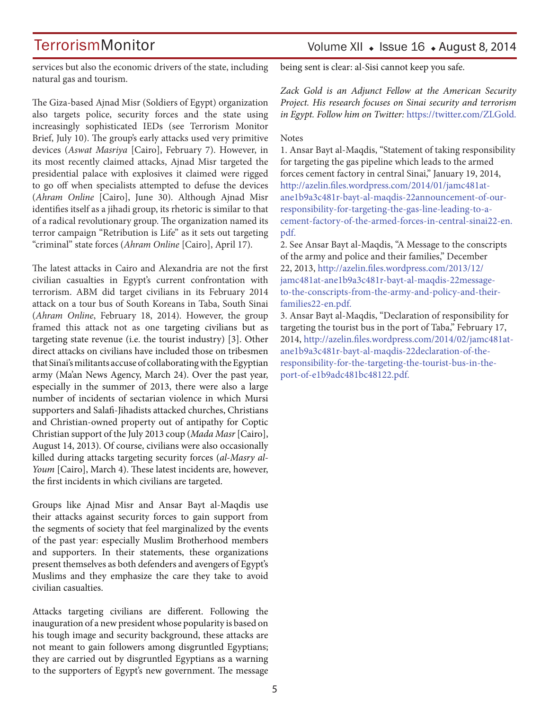## Volume XII · Issue 16 · August 8, 2014

services but also the economic drivers of the state, including natural gas and tourism.

The Giza-based Ajnad Misr (Soldiers of Egypt) organization also targets police, security forces and the state using increasingly sophisticated IEDs (see Terrorism Monitor Brief, July 10). The group's early attacks used very primitive devices (*Aswat Masriya* [Cairo], February 7). However, in its most recently claimed attacks, Ajnad Misr targeted the presidential palace with explosives it claimed were rigged to go off when specialists attempted to defuse the devices (*Ahram Online* [Cairo], June 30). Although Ajnad Misr identifies itself as a jihadi group, its rhetoric is similar to that of a radical revolutionary group. The organization named its terror campaign "Retribution is Life" as it sets out targeting "criminal" state forces (*Ahram Online* [Cairo], April 17).

The latest attacks in Cairo and Alexandria are not the first civilian casualties in Egypt's current confrontation with terrorism. ABM did target civilians in its February 2014 attack on a tour bus of South Koreans in Taba, South Sinai (*Ahram Online*, February 18, 2014). However, the group framed this attack not as one targeting civilians but as targeting state revenue (i.e. the tourist industry) [3]. Other direct attacks on civilians have included those on tribesmen that Sinai's militants accuse of collaborating with the Egyptian army (Ma'an News Agency, March 24). Over the past year, especially in the summer of 2013, there were also a large number of incidents of sectarian violence in which Mursi supporters and Salafi-Jihadists attacked churches, Christians and Christian-owned property out of antipathy for Coptic Christian support of the July 2013 coup (*Mada Masr* [Cairo], August 14, 2013). Of course, civilians were also occasionally killed during attacks targeting security forces (*al-Masry al-Youm* [Cairo], March 4). These latest incidents are, however, the first incidents in which civilians are targeted.

Groups like Ajnad Misr and Ansar Bayt al-Maqdis use their attacks against security forces to gain support from the segments of society that feel marginalized by the events of the past year: especially Muslim Brotherhood members and supporters. In their statements, these organizations present themselves as both defenders and avengers of Egypt's Muslims and they emphasize the care they take to avoid civilian casualties.

Attacks targeting civilians are different. Following the inauguration of a new president whose popularity is based on his tough image and security background, these attacks are not meant to gain followers among disgruntled Egyptians; they are carried out by disgruntled Egyptians as a warning to the supporters of Egypt's new government. The message being sent is clear: al-Sisi cannot keep you safe.

*Zack Gold is an Adjunct Fellow at the American Security Project. His research focuses on Sinai security and terrorism in Egypt. Follow him on Twitter:* https://twitter.com/ZLGold.

#### **Notes**

1. Ansar Bayt al-Maqdis, "Statement of taking responsibility for targeting the gas pipeline which leads to the armed forces cement factory in central Sinai," January 19, 2014, http://azelin.files.wordpress.com/2014/01/jamc481atane1b9a3c481r-bayt-al-maqdis-22announcement-of-ourresponsibility-for-targeting-the-gas-line-leading-to-acement-factory-of-the-armed-forces-in-central-sinai22-en. pdf.

2. See Ansar Bayt al-Maqdis, "A Message to the conscripts of the army and police and their families," December 22, 2013, http://azelin.files.wordpress.com/2013/12/ jamc481at-ane1b9a3c481r-bayt-al-maqdis-22messageto-the-conscripts-from-the-army-and-policy-and-theirfamilies22-en.pdf.

3. Ansar Bayt al-Maqdis, "Declaration of responsibility for targeting the tourist bus in the port of Taba," February 17, 2014, http://azelin.files.wordpress.com/2014/02/jamc481atane1b9a3c481r-bayt-al-maqdis-22declaration-of-theresponsibility-for-the-targeting-the-tourist-bus-in-theport-of-e1b9adc481bc48122.pdf.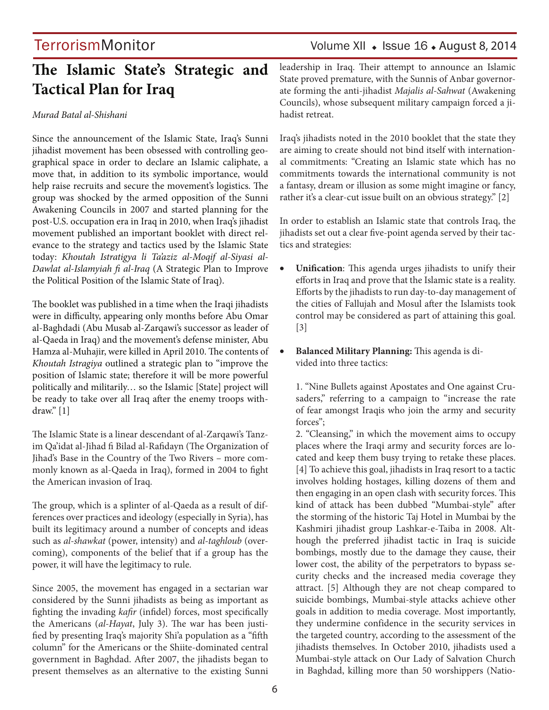## **The Islamic State's Strategic and Tactical Plan for Iraq**

### *Murad Batal al-Shishani*

Since the announcement of the Islamic State, Iraq's Sunni jihadist movement has been obsessed with controlling geographical space in order to declare an Islamic caliphate, a move that, in addition to its symbolic importance, would help raise recruits and secure the movement's logistics. The group was shocked by the armed opposition of the Sunni Awakening Councils in 2007 and started planning for the post-U.S. occupation era in Iraq in 2010, when Iraq's jihadist movement published an important booklet with direct relevance to the strategy and tactics used by the Islamic State today: *Khoutah Istratigya li Ta'aziz al-Moqif al-Siyasi al-Dawlat al-Islamyiah fi al-Iraq* (A Strategic Plan to Improve the Political Position of the Islamic State of Iraq).

The booklet was published in a time when the Iraqi jihadists were in difficulty, appearing only months before Abu Omar al-Baghdadi (Abu Musab al-Zarqawi's successor as leader of al-Qaeda in Iraq) and the movement's defense minister, Abu Hamza al-Muhajir, were killed in April 2010. The contents of *Khoutah Istragiya* outlined a strategic plan to "improve the position of Islamic state; therefore it will be more powerful politically and militarily… so the Islamic [State] project will be ready to take over all Iraq after the enemy troops withdraw." [1]

The Islamic State is a linear descendant of al-Zarqawi's Tanzim Qa'idat al-Jihad fi Bilad al-Rafidayn (The Organization of Jihad's Base in the Country of the Two Rivers – more commonly known as al-Qaeda in Iraq), formed in 2004 to fight the American invasion of Iraq.

The group, which is a splinter of al-Qaeda as a result of differences over practices and ideology (especially in Syria), has built its legitimacy around a number of concepts and ideas such as *al-shawkat* (power, intensity) and *al-taghloub* (overcoming), components of the belief that if a group has the power, it will have the legitimacy to rule.

Since 2005, the movement has engaged in a sectarian war considered by the Sunni jihadists as being as important as fighting the invading *kafir* (infidel) forces, most specifically the Americans (*al-Hayat*, July 3). The war has been justified by presenting Iraq's majority Shi'a population as a "fifth column" for the Americans or the Shiite-dominated central government in Baghdad. After 2007, the jihadists began to present themselves as an alternative to the existing Sunni

## TerrorismMonitor Volume XII • Issue 16 • August 8, 2014

leadership in Iraq. Their attempt to announce an Islamic State proved premature, with the Sunnis of Anbar governorate forming the anti-jihadist *Majalis al-Sahwat* (Awakening Councils), whose subsequent military campaign forced a jihadist retreat.

Iraq's jihadists noted in the 2010 booklet that the state they are aiming to create should not bind itself with international commitments: "Creating an Islamic state which has no commitments towards the international community is not a fantasy, dream or illusion as some might imagine or fancy, rather it's a clear-cut issue built on an obvious strategy." [2]

In order to establish an Islamic state that controls Iraq, the jihadists set out a clear five-point agenda served by their tactics and strategies:

- Unification: This agenda urges jihadists to unify their efforts in Iraq and prove that the Islamic state is a reality. Efforts by the jihadists to run day-to-day management of the cities of Fallujah and Mosul after the Islamists took control may be considered as part of attaining this goal. [3]
- **Balanced Military Planning:** This agenda is divided into three tactics:

1. "Nine Bullets against Apostates and One against Crusaders," referring to a campaign to "increase the rate of fear amongst Iraqis who join the army and security forces";

2. "Cleansing," in which the movement aims to occupy places where the Iraqi army and security forces are located and keep them busy trying to retake these places. [4] To achieve this goal, jihadists in Iraq resort to a tactic involves holding hostages, killing dozens of them and then engaging in an open clash with security forces. This kind of attack has been dubbed "Mumbai-style" after the storming of the historic Taj Hotel in Mumbai by the Kashmiri jihadist group Lashkar-e-Taiba in 2008. Although the preferred jihadist tactic in Iraq is suicide bombings, mostly due to the damage they cause, their lower cost, the ability of the perpetrators to bypass security checks and the increased media coverage they attract. [5] Although they are not cheap compared to suicide bombings, Mumbai-style attacks achieve other goals in addition to media coverage. Most importantly, they undermine confidence in the security services in the targeted country, according to the assessment of the jihadists themselves. In October 2010, jihadists used a Mumbai-style attack on Our Lady of Salvation Church in Baghdad, killing more than 50 worshippers (Natio-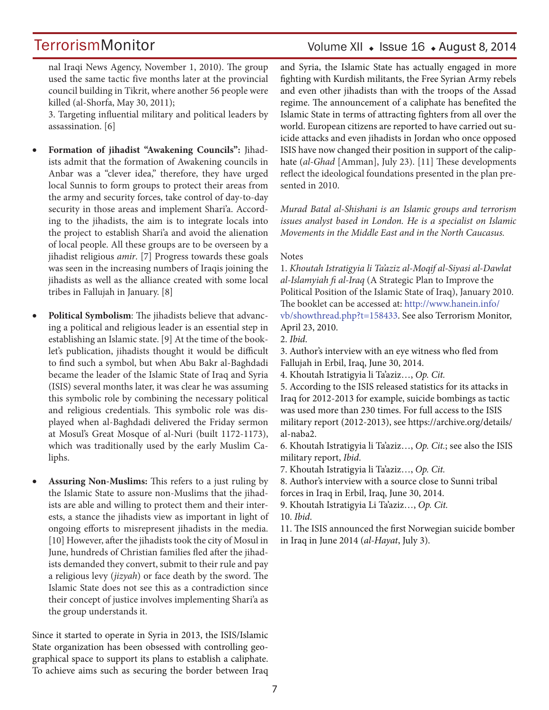## Volume XII · Issue 16 · August 8, 2014

nal Iraqi News Agency, November 1, 2010). The group used the same tactic five months later at the provincial council building in Tikrit, where another 56 people were killed (al-Shorfa, May 30, 2011);

3. Targeting influential military and political leaders by assassination. [6]

- Formation of jihadist "Awakening Councils": Jihadists admit that the formation of Awakening councils in Anbar was a "clever idea," therefore, they have urged local Sunnis to form groups to protect their areas from the army and security forces, take control of day-to-day security in those areas and implement Shari'a. According to the jihadists, the aim is to integrate locals into the project to establish Shari'a and avoid the alienation of local people. All these groups are to be overseen by a jihadist religious *amir*. [7] Progress towards these goals was seen in the increasing numbers of Iraqis joining the jihadists as well as the alliance created with some local tribes in Fallujah in January. [8]
- Political Symbolism: The jihadists believe that advancing a political and religious leader is an essential step in establishing an Islamic state. [9] At the time of the booklet's publication, jihadists thought it would be difficult to find such a symbol, but when Abu Bakr al-Baghdadi became the leader of the Islamic State of Iraq and Syria (ISIS) several months later, it was clear he was assuming this symbolic role by combining the necessary political and religious credentials. This symbolic role was displayed when al-Baghdadi delivered the Friday sermon at Mosul's Great Mosque of al-Nuri (built 1172-1173), which was traditionally used by the early Muslim Caliphs.
- **Assuring Non-Muslims:** This refers to a just ruling by the Islamic State to assure non-Muslims that the jihadists are able and willing to protect them and their interests, a stance the jihadists view as important in light of ongoing efforts to misrepresent jihadists in the media. [10] However, after the jihadists took the city of Mosul in June, hundreds of Christian families fled after the jihadists demanded they convert, submit to their rule and pay a religious levy (*jizyah*) or face death by the sword. The Islamic State does not see this as a contradiction since their concept of justice involves implementing Shari'a as the group understands it.

Since it started to operate in Syria in 2013, the ISIS/Islamic State organization has been obsessed with controlling geographical space to support its plans to establish a caliphate. To achieve aims such as securing the border between Iraq and Syria, the Islamic State has actually engaged in more fighting with Kurdish militants, the Free Syrian Army rebels and even other jihadists than with the troops of the Assad regime. The announcement of a caliphate has benefited the Islamic State in terms of attracting fighters from all over the world. European citizens are reported to have carried out suicide attacks and even jihadists in Jordan who once opposed ISIS have now changed their position in support of the caliphate (*al-Ghad* [Amman], July 23). [11] These developments reflect the ideological foundations presented in the plan presented in 2010.

*Murad Batal al-Shishani is an Islamic groups and terrorism issues analyst based in London. He is a specialist on Islamic Movements in the Middle East and in the North Caucasus.*

### **Notes**

1. *Khoutah Istratigyia li Ta'aziz al-Moqif al-Siyasi al-Dawlat al-Islamyiah fi al-Iraq* (A Strategic Plan to Improve the Political Position of the Islamic State of Iraq), January 2010. The booklet can be accessed at: http://www.hanein.info/ vb/showthread.php?t=158433. See also Terrorism Monitor, April 23, 2010.

2. *Ibid*.

3. Author's interview with an eye witness who fled from Fallujah in Erbil, Iraq, June 30, 2014.

4. Khoutah Istratigyia li Ta'aziz…, *Op. Cit.*

5. According to the ISIS released statistics for its attacks in Iraq for 2012-2013 for example, suicide bombings as tactic was used more than 230 times. For full access to the ISIS military report (2012-2013), see https://archive.org/details/ al-naba2.

6. Khoutah Istratigyia li Ta'aziz…, *Op. Cit.*; see also the ISIS military report, *Ibid*.

7. Khoutah Istratigyia li Ta'aziz…, *Op. Cit.*

8. Author's interview with a source close to Sunni tribal forces in Iraq in Erbil, Iraq, June 30, 2014.

9. Khoutah Istratigyia Li Ta'aziz…, *Op. Cit.*

10. *Ibid*.

11. The ISIS announced the first Norwegian suicide bomber in Iraq in June 2014 (*al-Hayat*, July 3).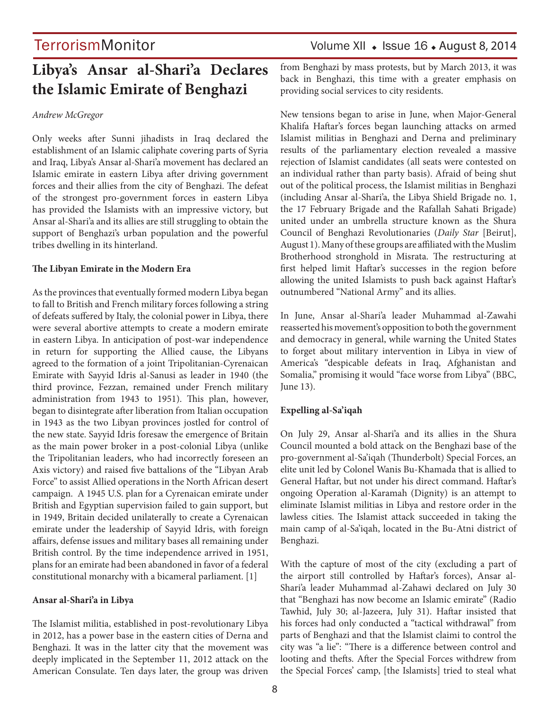## TerrorismMonitor Volume XII • Issue 16 • August 8, 2014

## **Libya's Ansar al-Shari'a Declares the Islamic Emirate of Benghazi**

#### *Andrew McGregor*

Only weeks after Sunni jihadists in Iraq declared the establishment of an Islamic caliphate covering parts of Syria and Iraq, Libya's Ansar al-Shari'a movement has declared an Islamic emirate in eastern Libya after driving government forces and their allies from the city of Benghazi. The defeat of the strongest pro-government forces in eastern Libya has provided the Islamists with an impressive victory, but Ansar al-Shari'a and its allies are still struggling to obtain the support of Benghazi's urban population and the powerful tribes dwelling in its hinterland.

#### **The Libyan Emirate in the Modern Era**

As the provinces that eventually formed modern Libya began to fall to British and French military forces following a string of defeats suffered by Italy, the colonial power in Libya, there were several abortive attempts to create a modern emirate in eastern Libya. In anticipation of post-war independence in return for supporting the Allied cause, the Libyans agreed to the formation of a joint Tripolitanian-Cyrenaican Emirate with Sayyid Idris al-Sanusi as leader in 1940 (the third province, Fezzan, remained under French military administration from 1943 to 1951). This plan, however, began to disintegrate after liberation from Italian occupation in 1943 as the two Libyan provinces jostled for control of the new state. Sayyid Idris foresaw the emergence of Britain as the main power broker in a post-colonial Libya (unlike the Tripolitanian leaders, who had incorrectly foreseen an Axis victory) and raised five battalions of the "Libyan Arab Force" to assist Allied operations in the North African desert campaign. A 1945 U.S. plan for a Cyrenaican emirate under British and Egyptian supervision failed to gain support, but in 1949, Britain decided unilaterally to create a Cyrenaican emirate under the leadership of Sayyid Idris, with foreign affairs, defense issues and military bases all remaining under British control. By the time independence arrived in 1951, plans for an emirate had been abandoned in favor of a federal constitutional monarchy with a bicameral parliament. [1]

#### **Ansar al-Shari'a in Libya**

The Islamist militia, established in post-revolutionary Libya in 2012, has a power base in the eastern cities of Derna and Benghazi. It was in the latter city that the movement was deeply implicated in the September 11, 2012 attack on the American Consulate. Ten days later, the group was driven from Benghazi by mass protests, but by March 2013, it was back in Benghazi, this time with a greater emphasis on providing social services to city residents.

New tensions began to arise in June, when Major-General Khalifa Haftar's forces began launching attacks on armed Islamist militias in Benghazi and Derna and preliminary results of the parliamentary election revealed a massive rejection of Islamist candidates (all seats were contested on an individual rather than party basis). Afraid of being shut out of the political process, the Islamist militias in Benghazi (including Ansar al-Shari'a, the Libya Shield Brigade no. 1, the 17 February Brigade and the Rafallah Sahati Brigade) united under an umbrella structure known as the Shura Council of Benghazi Revolutionaries (*Daily Star* [Beirut], August 1). Many of these groups are affiliated with the Muslim Brotherhood stronghold in Misrata. The restructuring at first helped limit Haftar's successes in the region before allowing the united Islamists to push back against Haftar's outnumbered "National Army" and its allies.

In June, Ansar al-Shari'a leader Muhammad al-Zawahi reasserted his movement's opposition to both the government and democracy in general, while warning the United States to forget about military intervention in Libya in view of America's "despicable defeats in Iraq, Afghanistan and Somalia," promising it would "face worse from Libya" (BBC, June 13).

#### **Expelling al-Sa'iqah**

On July 29, Ansar al-Shari'a and its allies in the Shura Council mounted a bold attack on the Benghazi base of the pro-government al-Sa'iqah (Thunderbolt) Special Forces, an elite unit led by Colonel Wanis Bu-Khamada that is allied to General Haftar, but not under his direct command. Haftar's ongoing Operation al-Karamah (Dignity) is an attempt to eliminate Islamist militias in Libya and restore order in the lawless cities. The Islamist attack succeeded in taking the main camp of al-Sa'iqah, located in the Bu-Atni district of Benghazi.

With the capture of most of the city (excluding a part of the airport still controlled by Haftar's forces), Ansar al-Shari'a leader Muhammad al-Zahawi declared on July 30 that "Benghazi has now become an Islamic emirate" (Radio Tawhid, July 30; al-Jazeera, July 31). Haftar insisted that his forces had only conducted a "tactical withdrawal" from parts of Benghazi and that the Islamist claimi to control the city was "a lie": "There is a difference between control and looting and thefts. After the Special Forces withdrew from the Special Forces' camp, [the Islamists] tried to steal what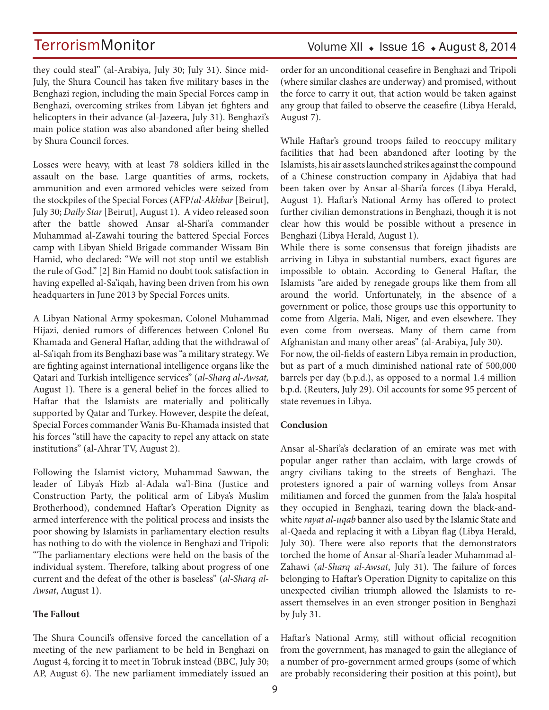## Volume XII · Issue 16 · August 8, 2014

they could steal" (al-Arabiya, July 30; July 31). Since mid-July, the Shura Council has taken five military bases in the Benghazi region, including the main Special Forces camp in Benghazi, overcoming strikes from Libyan jet fighters and helicopters in their advance (al-Jazeera, July 31). Benghazi's main police station was also abandoned after being shelled by Shura Council forces.

Losses were heavy, with at least 78 soldiers killed in the assault on the base. Large quantities of arms, rockets, ammunition and even armored vehicles were seized from the stockpiles of the Special Forces (AFP/*al-Akhbar* [Beirut], July 30; *Daily Star* [Beirut], August 1). A video released soon after the battle showed Ansar al-Shari'a commander Muhammad al-Zawahi touring the battered Special Forces camp with Libyan Shield Brigade commander Wissam Bin Hamid, who declared: "We will not stop until we establish the rule of God." [2] Bin Hamid no doubt took satisfaction in having expelled al-Sa'iqah, having been driven from his own headquarters in June 2013 by Special Forces units.

A Libyan National Army spokesman, Colonel Muhammad Hijazi, denied rumors of differences between Colonel Bu Khamada and General Haftar, adding that the withdrawal of al-Sa'iqah from its Benghazi base was "a military strategy. We are fighting against international intelligence organs like the Qatari and Turkish intelligence services" (*al-Sharq al-Awsat,* August 1). There is a general belief in the forces allied to Haftar that the Islamists are materially and politically supported by Qatar and Turkey. However, despite the defeat, Special Forces commander Wanis Bu-Khamada insisted that his forces "still have the capacity to repel any attack on state institutions" (al-Ahrar TV, August 2).

Following the Islamist victory, Muhammad Sawwan, the leader of Libya's Hizb al-Adala wa'l-Bina (Justice and Construction Party, the political arm of Libya's Muslim Brotherhood), condemned Haftar's Operation Dignity as armed interference with the political process and insists the poor showing by Islamists in parliamentary election results has nothing to do with the violence in Benghazi and Tripoli: "The parliamentary elections were held on the basis of the individual system. Therefore, talking about progress of one current and the defeat of the other is baseless" (*al-Sharq al-Awsat*, August 1).

#### **The Fallout**

The Shura Council's offensive forced the cancellation of a meeting of the new parliament to be held in Benghazi on August 4, forcing it to meet in Tobruk instead (BBC, July 30; AP, August 6). The new parliament immediately issued an order for an unconditional ceasefire in Benghazi and Tripoli (where similar clashes are underway) and promised, without the force to carry it out, that action would be taken against any group that failed to observe the ceasefire (Libya Herald, August 7).

While Haftar's ground troops failed to reoccupy military facilities that had been abandoned after looting by the Islamists, his air assets launched strikes against the compound of a Chinese construction company in Ajdabiya that had been taken over by Ansar al-Shari'a forces (Libya Herald, August 1). Haftar's National Army has offered to protect further civilian demonstrations in Benghazi, though it is not clear how this would be possible without a presence in Benghazi (Libya Herald, August 1).

While there is some consensus that foreign jihadists are arriving in Libya in substantial numbers, exact figures are impossible to obtain. According to General Haftar, the Islamists "are aided by renegade groups like them from all around the world. Unfortunately, in the absence of a government or police, those groups use this opportunity to come from Algeria, Mali, Niger, and even elsewhere. They even come from overseas. Many of them came from Afghanistan and many other areas" (al-Arabiya, July 30).

For now, the oil-fields of eastern Libya remain in production, but as part of a much diminished national rate of 500,000 barrels per day (b.p.d.), as opposed to a normal 1.4 million b.p.d. (Reuters, July 29). Oil accounts for some 95 percent of state revenues in Libya.

#### **Conclusion**

Ansar al-Shari'a's declaration of an emirate was met with popular anger rather than acclaim, with large crowds of angry civilians taking to the streets of Benghazi. The protesters ignored a pair of warning volleys from Ansar militiamen and forced the gunmen from the Jala'a hospital they occupied in Benghazi, tearing down the black-andwhite *rayat al-uqab* banner also used by the Islamic State and al-Qaeda and replacing it with a Libyan flag (Libya Herald, July 30). There were also reports that the demonstrators torched the home of Ansar al-Shari'a leader Muhammad al-Zahawi (*al-Sharq al-Awsat*, July 31). The failure of forces belonging to Haftar's Operation Dignity to capitalize on this unexpected civilian triumph allowed the Islamists to reassert themselves in an even stronger position in Benghazi by July 31.

Haftar's National Army, still without official recognition from the government, has managed to gain the allegiance of a number of pro-government armed groups (some of which are probably reconsidering their position at this point), but